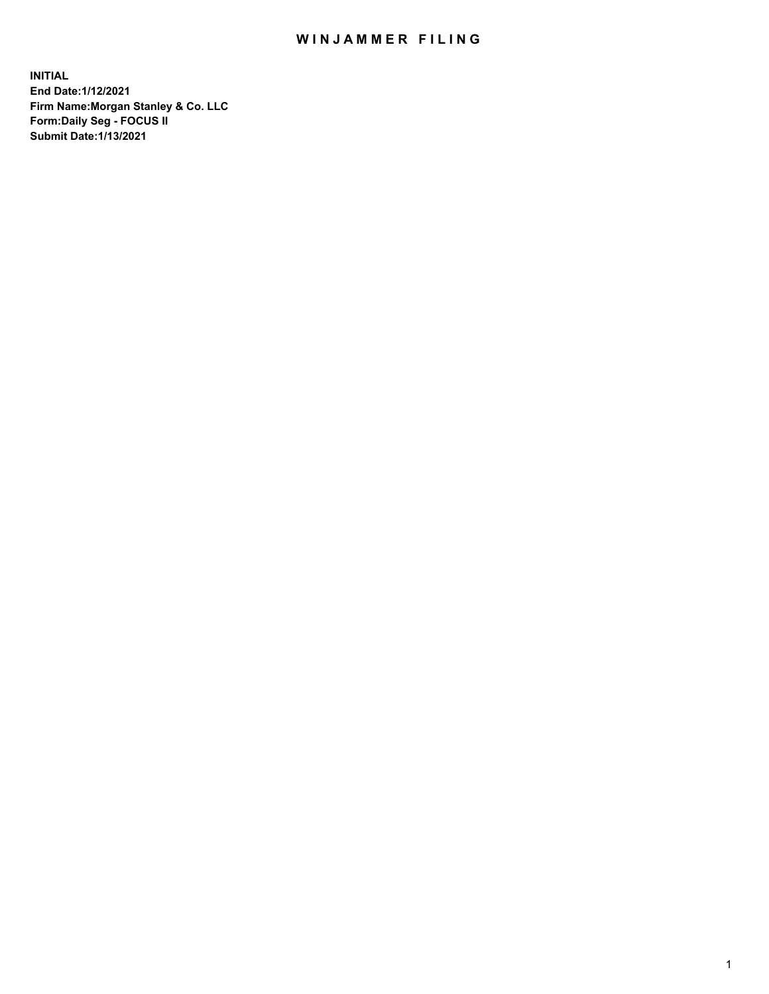## WIN JAMMER FILING

**INITIAL End Date:1/12/2021 Firm Name:Morgan Stanley & Co. LLC Form:Daily Seg - FOCUS II Submit Date:1/13/2021**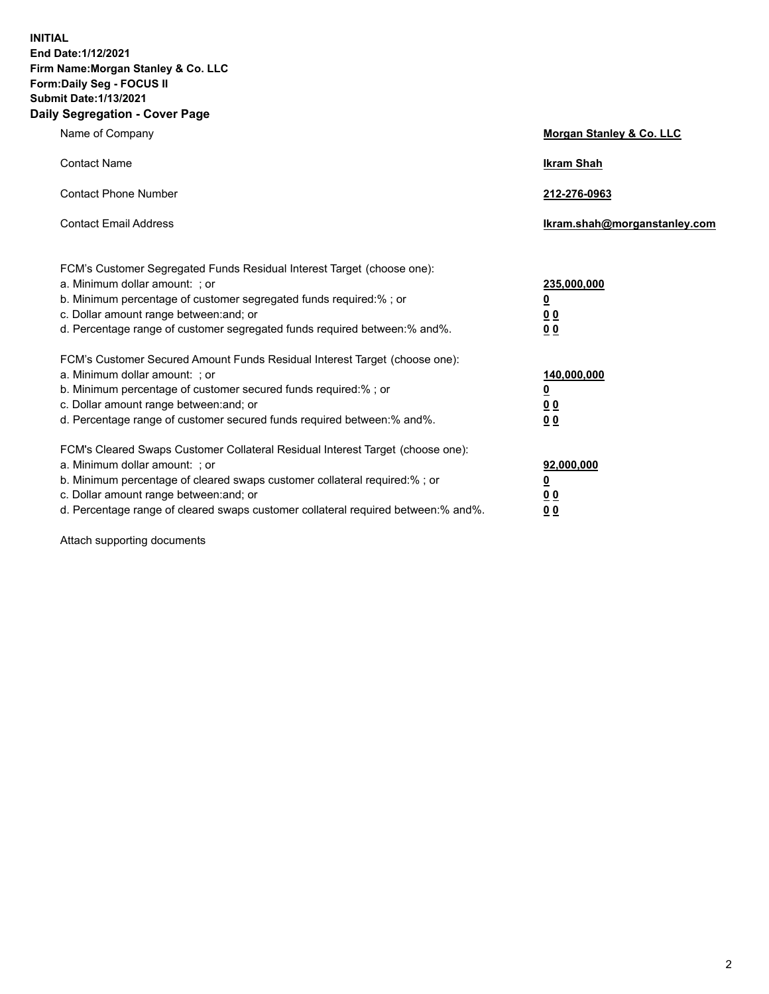**INITIAL End Date:1/12/2021 Firm Name:Morgan Stanley & Co. LLC Form:Daily Seg - FOCUS II Submit Date:1/13/2021 Daily Segregation - Cover Page**

| Name of Company                                                                                          | Morgan Stanley & Co. LLC     |
|----------------------------------------------------------------------------------------------------------|------------------------------|
| <b>Contact Name</b>                                                                                      | <b>Ikram Shah</b>            |
| <b>Contact Phone Number</b>                                                                              | 212-276-0963                 |
| <b>Contact Email Address</b>                                                                             | Ikram.shah@morganstanley.com |
|                                                                                                          |                              |
| FCM's Customer Segregated Funds Residual Interest Target (choose one):<br>a. Minimum dollar amount: ; or | 235,000,000                  |
| b. Minimum percentage of customer segregated funds required:% ; or                                       | <u>0</u>                     |
| c. Dollar amount range between: and; or                                                                  | <u>00</u>                    |
| d. Percentage range of customer segregated funds required between: % and %.                              | 0 <sup>0</sup>               |
| FCM's Customer Secured Amount Funds Residual Interest Target (choose one):                               |                              |
| a. Minimum dollar amount: ; or                                                                           | 140,000,000                  |
| b. Minimum percentage of customer secured funds required:%; or                                           | <u>0</u>                     |
| c. Dollar amount range between: and; or                                                                  | <u>0 0</u>                   |
| d. Percentage range of customer secured funds required between:% and%.                                   | 0 Q                          |
| FCM's Cleared Swaps Customer Collateral Residual Interest Target (choose one):                           |                              |
| a. Minimum dollar amount: ; or                                                                           | 92,000,000                   |
| b. Minimum percentage of cleared swaps customer collateral required:% ; or                               | <u>0</u>                     |
| c. Dollar amount range between: and; or                                                                  | 0 Q                          |
| d. Percentage range of cleared swaps customer collateral required between:% and%.                        | 0 <sub>0</sub>               |

Attach supporting documents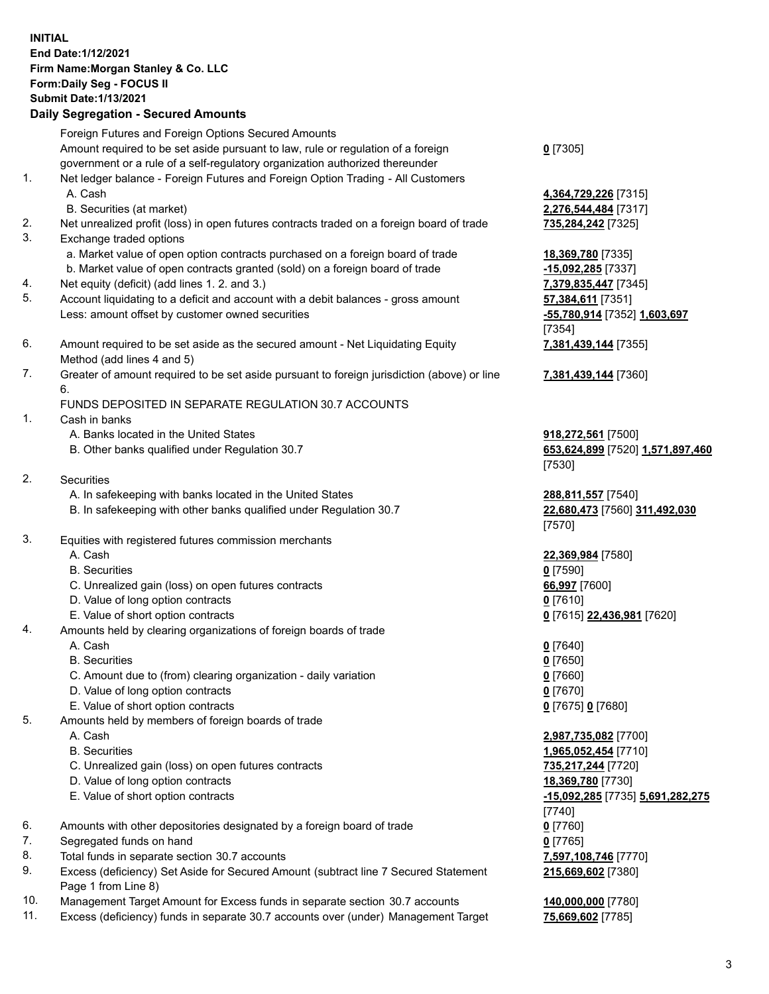## **INITIAL End Date:1/12/2021 Firm Name:Morgan Stanley & Co. LLC Form:Daily Seg - FOCUS II Submit Date:1/13/2021**

**Daily Segregation - Secured Amounts** Foreign Futures and Foreign Options Secured Amounts Amount required to be set aside pursuant to law, rule or regulation of a foreign government or a rule of a self-regulatory organization authorized thereunder 1. Net ledger balance - Foreign Futures and Foreign Option Trading - All Customers A. Cash **4,364,729,226** [7315] B. Securities (at market) **2,276,544,484** [7317] 2. Net unrealized profit (loss) in open futures contracts traded on a foreign board of trade **735,284,242** [7325] 3. Exchange traded options a. Market value of open option contracts purchased on a foreign board of trade **18,369,780** [7335] b. Market value of open contracts granted (sold) on a foreign board of trade **-15,092,285** [7337] 4. Net equity (deficit) (add lines 1. 2. and 3.) **7,379,835,447** [7345] 5. Account liquidating to a deficit and account with a debit balances - gross amount **57,384,611** [7351] Less: amount offset by customer owned securities **-55,780,914** [7352] **1,603,697** 6. Amount required to be set aside as the secured amount - Net Liquidating Equity Method (add lines 4 and 5) 7. Greater of amount required to be set aside pursuant to foreign jurisdiction (above) or line 6. FUNDS DEPOSITED IN SEPARATE REGULATION 30.7 ACCOUNTS 1. Cash in banks A. Banks located in the United States **918,272,561** [7500] B. Other banks qualified under Regulation 30.7 **653,624,899** [7520] **1,571,897,460** 2. Securities A. In safekeeping with banks located in the United States **288,811,557** [7540] B. In safekeeping with other banks qualified under Regulation 30.7 **22,680,473** [7560] **311,492,030** 3. Equities with registered futures commission merchants A. Cash **22,369,984** [7580] B. Securities **0** [7590] C. Unrealized gain (loss) on open futures contracts **66,997** [7600] D. Value of long option contracts **0** [7610] E. Value of short option contracts **0** [7615] **22,436,981** [7620] 4. Amounts held by clearing organizations of foreign boards of trade A. Cash **0** [7640] B. Securities **0** [7650] C. Amount due to (from) clearing organization - daily variation **0** [7660] D. Value of long option contracts **0** [7670] E. Value of short option contracts **0** [7675] **0** [7680] 5. Amounts held by members of foreign boards of trade A. Cash **2,987,735,082** [7700] B. Securities **1,965,052,454** [7710] C. Unrealized gain (loss) on open futures contracts **735,217,244** [7720] D. Value of long option contracts **18,369,780** [7730] E. Value of short option contracts **-15,092,285** [7735] **5,691,282,275**

- 6. Amounts with other depositories designated by a foreign board of trade **0** [7760]
- 7. Segregated funds on hand **0** [7765]
- 8. Total funds in separate section 30.7 accounts **7,597,108,746** [7770]
- 9. Excess (deficiency) Set Aside for Secured Amount (subtract line 7 Secured Statement Page 1 from Line 8)
- 10. Management Target Amount for Excess funds in separate section 30.7 accounts **140,000,000** [7780]
- 11. Excess (deficiency) funds in separate 30.7 accounts over (under) Management Target **75,669,602** [7785]

**0** [7305]

[7354] **7,381,439,144** [7355]

**7,381,439,144** [7360]

[7530]

[7570]

[7740] **215,669,602** [7380]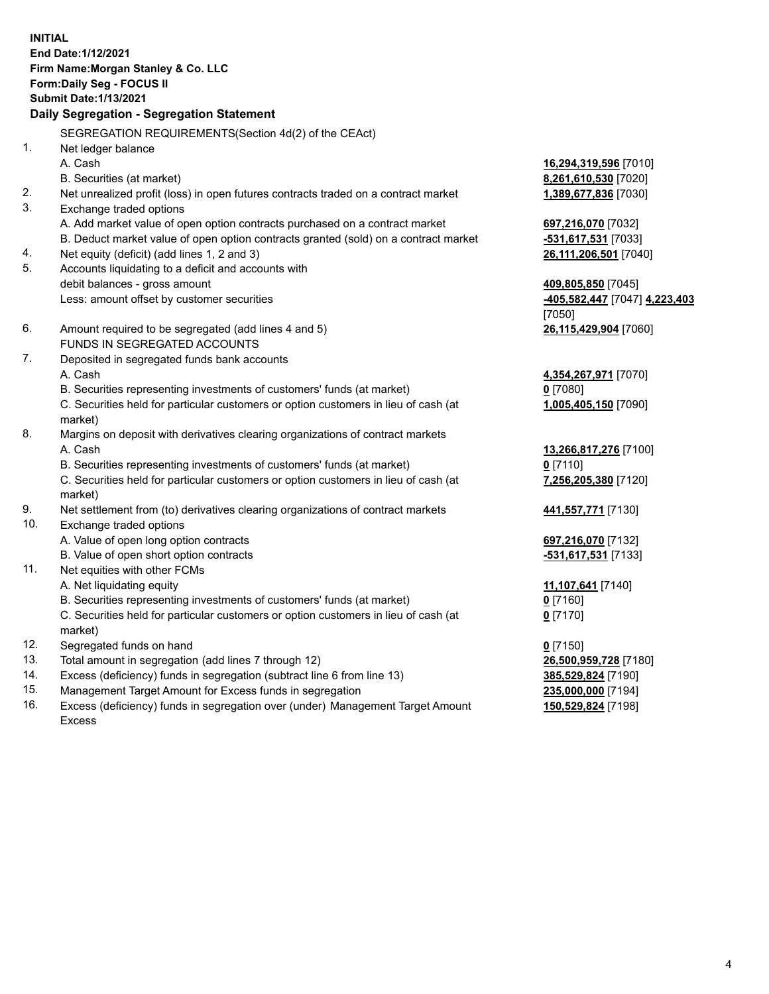**INITIAL End Date:1/12/2021 Firm Name:Morgan Stanley & Co. LLC Form:Daily Seg - FOCUS II Submit Date:1/13/2021 Daily Segregation - Segregation Statement** SEGREGATION REQUIREMENTS(Section 4d(2) of the CEAct) 1. Net ledger balance A. Cash **16,294,319,596** [7010] B. Securities (at market) **8,261,610,530** [7020] 2. Net unrealized profit (loss) in open futures contracts traded on a contract market **1,389,677,836** [7030] 3. Exchange traded options A. Add market value of open option contracts purchased on a contract market **697,216,070** [7032] B. Deduct market value of open option contracts granted (sold) on a contract market **-531,617,531** [7033] 4. Net equity (deficit) (add lines 1, 2 and 3) **26,111,206,501** [7040] 5. Accounts liquidating to a deficit and accounts with debit balances - gross amount **409,805,850** [7045] Less: amount offset by customer securities **-405,582,447** [7047] **4,223,403** [7050] 6. Amount required to be segregated (add lines 4 and 5) **26,115,429,904** [7060] FUNDS IN SEGREGATED ACCOUNTS 7. Deposited in segregated funds bank accounts A. Cash **4,354,267,971** [7070] B. Securities representing investments of customers' funds (at market) **0** [7080] C. Securities held for particular customers or option customers in lieu of cash (at market) **1,005,405,150** [7090] 8. Margins on deposit with derivatives clearing organizations of contract markets A. Cash **13,266,817,276** [7100] B. Securities representing investments of customers' funds (at market) **0** [7110] C. Securities held for particular customers or option customers in lieu of cash (at market) **7,256,205,380** [7120] 9. Net settlement from (to) derivatives clearing organizations of contract markets **441,557,771** [7130] 10. Exchange traded options A. Value of open long option contracts **697,216,070** [7132] B. Value of open short option contracts **-531,617,531** [7133] 11. Net equities with other FCMs A. Net liquidating equity **11,107,641** [7140] B. Securities representing investments of customers' funds (at market) **0** [7160] C. Securities held for particular customers or option customers in lieu of cash (at market) **0** [7170] 12. Segregated funds on hand **0** [7150] 13. Total amount in segregation (add lines 7 through 12) **26,500,959,728** [7180] 14. Excess (deficiency) funds in segregation (subtract line 6 from line 13) **385,529,824** [7190]

- 15. Management Target Amount for Excess funds in segregation **235,000,000** [7194]
- 16. Excess (deficiency) funds in segregation over (under) Management Target Amount Excess

**150,529,824** [7198]